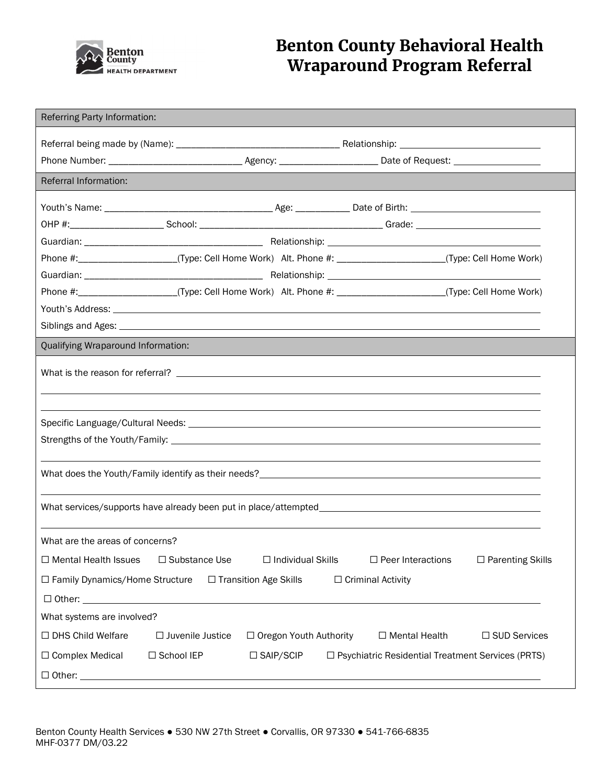

# Benton County Behavioral Health Wraparound Program Referral

| Referring Party Information:                                                                                   |                         |                               |                             |                                                          |  |
|----------------------------------------------------------------------------------------------------------------|-------------------------|-------------------------------|-----------------------------|----------------------------------------------------------|--|
|                                                                                                                |                         |                               |                             |                                                          |  |
|                                                                                                                |                         |                               |                             |                                                          |  |
| <b>Referral Information:</b>                                                                                   |                         |                               |                             |                                                          |  |
|                                                                                                                |                         |                               |                             |                                                          |  |
|                                                                                                                |                         |                               |                             |                                                          |  |
|                                                                                                                |                         |                               |                             |                                                          |  |
| Phone #:______________________(Type: Cell Home Work) Alt. Phone #: _____________________(Type: Cell Home Work) |                         |                               |                             |                                                          |  |
|                                                                                                                |                         |                               |                             |                                                          |  |
| Phone #:_____________________(Type: Cell Home Work) Alt. Phone #: ____________________(Type: Cell Home Work)   |                         |                               |                             |                                                          |  |
|                                                                                                                |                         |                               |                             |                                                          |  |
|                                                                                                                |                         |                               |                             |                                                          |  |
| Qualifying Wraparound Information:                                                                             |                         |                               |                             |                                                          |  |
|                                                                                                                |                         |                               |                             |                                                          |  |
|                                                                                                                |                         |                               |                             |                                                          |  |
|                                                                                                                |                         |                               |                             |                                                          |  |
| What are the areas of concerns?                                                                                |                         |                               |                             |                                                          |  |
| □ Mental Health Issues                                                                                         | $\square$ Substance Use | $\Box$ Individual Skills      | $\square$ Peer Interactions | □ Parenting Skills                                       |  |
| □ Family Dynamics/Home Structure                                                                               |                         | □ Transition Age Skills       | □ Criminal Activity         |                                                          |  |
|                                                                                                                |                         |                               |                             |                                                          |  |
| What systems are involved?                                                                                     |                         |                               |                             |                                                          |  |
| □ DHS Child Welfare                                                                                            | $\Box$ Juvenile Justice | $\Box$ Oregon Youth Authority | $\Box$ Mental Health        | □ SUD Services                                           |  |
| □ Complex Medical                                                                                              | □ School IEP            | $\square$ SAIP/SCIP           |                             | $\Box$ Psychiatric Residential Treatment Services (PRTS) |  |
|                                                                                                                |                         |                               |                             |                                                          |  |
|                                                                                                                |                         |                               |                             |                                                          |  |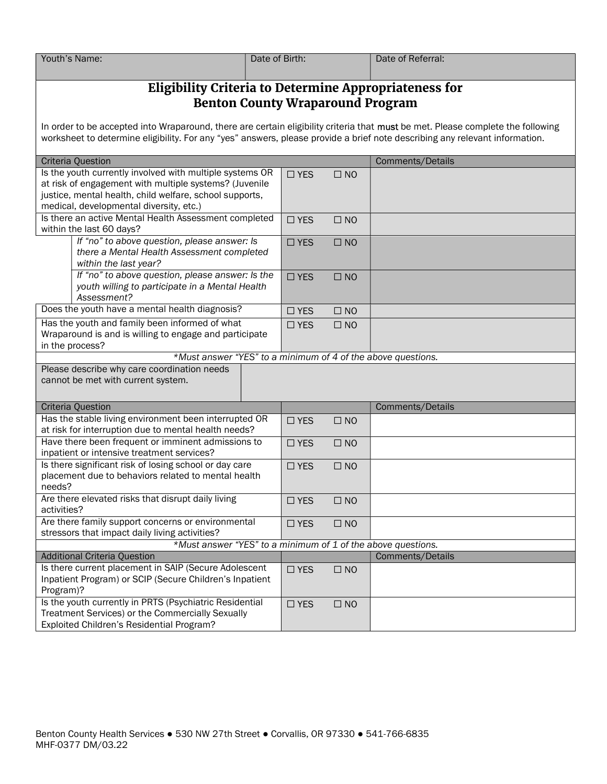| Youth's Name: | Date of Birth: | Date of Referral: |
|---------------|----------------|-------------------|
|               |                |                   |

## Eligibility Criteria to Determine Appropriateness for Benton County Wraparound Program

In order to be accepted into Wraparound, there are certain eligibility criteria that must be met. Please complete the following worksheet to determine eligibility. For any "yes" answers, please provide a brief note describing any relevant information.

| <b>Criteria Question</b>                                                                      | Comments/Details |              |                  |
|-----------------------------------------------------------------------------------------------|------------------|--------------|------------------|
| Is the youth currently involved with multiple systems OR                                      |                  | $\square$ NO |                  |
| at risk of engagement with multiple systems? (Juvenile                                        |                  |              |                  |
| justice, mental health, child welfare, school supports,                                       |                  |              |                  |
| medical, developmental diversity, etc.)                                                       |                  |              |                  |
| Is there an active Mental Health Assessment completed                                         | $\square$ YES    | $\square$ NO |                  |
| within the last 60 days?                                                                      |                  |              |                  |
| If "no" to above question, please answer: Is                                                  |                  | $\square$ NO |                  |
| there a Mental Health Assessment completed                                                    |                  |              |                  |
| within the last year?                                                                         |                  |              |                  |
| If "no" to above question, please answer: Is the                                              |                  | $\square$ NO |                  |
| youth willing to participate in a Mental Health                                               |                  |              |                  |
| Assessment?                                                                                   |                  |              |                  |
| Does the youth have a mental health diagnosis?                                                | $\Box$ YES       | $\square$ NO |                  |
| Has the youth and family been informed of what                                                | $\Box$ YES       | $\Box$ NO    |                  |
| Wraparound is and is willing to engage and participate                                        |                  |              |                  |
| in the process?                                                                               |                  |              |                  |
| *Must answer "YES" to a minimum of 4 of the above questions.                                  |                  |              |                  |
| Please describe why care coordination needs                                                   |                  |              |                  |
| cannot be met with current system.                                                            |                  |              |                  |
|                                                                                               |                  |              |                  |
|                                                                                               |                  |              |                  |
| Criteria Question                                                                             |                  |              | Comments/Details |
| Has the stable living environment been interrupted OR                                         | $\square$ YES    | $\square$ NO |                  |
| at risk for interruption due to mental health needs?                                          |                  |              |                  |
| Have there been frequent or imminent admissions to                                            | $\square$ YES    | $\square$ NO |                  |
| inpatient or intensive treatment services?                                                    |                  |              |                  |
| Is there significant risk of losing school or day care                                        | $\Box$ YES       | $\square$ NO |                  |
| placement due to behaviors related to mental health                                           |                  |              |                  |
| needs?                                                                                        |                  |              |                  |
| Are there elevated risks that disrupt daily living                                            | $\square$ YES    | $\square$ NO |                  |
| activities?                                                                                   |                  |              |                  |
| Are there family support concerns or environmental                                            | $\square$ YES    | $\square$ NO |                  |
| stressors that impact daily living activities?                                                |                  |              |                  |
| *Must answer "YES" to a minimum of 1 of the above questions.                                  |                  |              |                  |
| <b>Additional Criteria Question</b>                                                           |                  |              | Comments/Details |
| Is there current placement in SAIP (Secure Adolescent                                         | $\square$ YES    | $\square$ NO |                  |
| Inpatient Program) or SCIP (Secure Children's Inpatient                                       |                  |              |                  |
| Program)?                                                                                     |                  |              |                  |
| Is the youth currently in PRTS (Psychiatric Residential                                       | $\square$ YES    | $\square$ NO |                  |
| Treatment Services) or the Commercially Sexually<br>Exploited Children's Residential Program? |                  |              |                  |